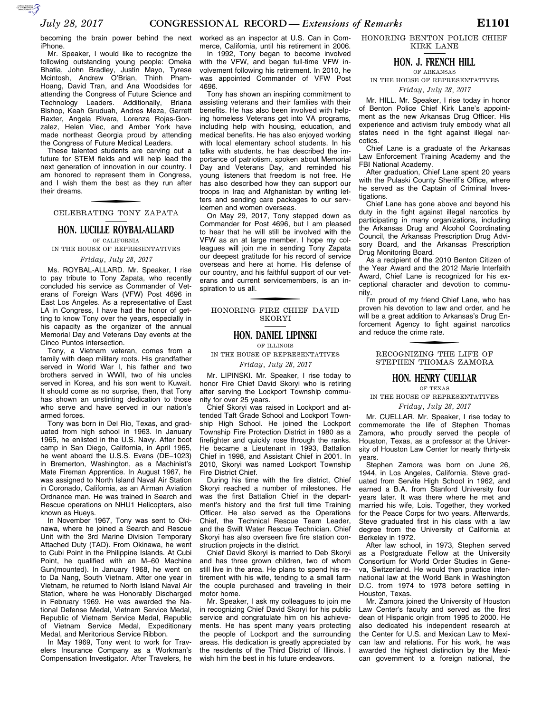becoming the brain power behind the next iPhone.

Mr. Speaker, I would like to recognize the following outstanding young people: Omeka Bhatia, John Bradley, Justin Mayo, Tyrese Mcintosh, Andrew O'Brian, Thinh Pham-Hoang, David Tran, and Ana Woodsides for attending the Congress of Future Science and Technology Leaders. Additionally, Briana Bishop, Keah Gruduah, Andres Meza, Garrett Raxter, Angela Rivera, Lorenza Rojas-Gonzalez, Helen Viec, and Amber York have made northeast Georgia proud by attending the Congress of Future Medical Leaders.

These talented students are carving out a future for STEM fields and will help lead the next generation of innovation in our country. I am honored to represent them in Congress, and I wish them the best as they run after their dreams.

## CELEBRATING TONY ZAPATA

### **HON. LUCILLE ROYBAL-ALLARD**

OF CALIFORNIA IN THE HOUSE OF REPRESENTATIVES

*Friday, July 28, 2017* 

Ms. ROYBAL-ALLARD. Mr. Speaker, I rise to pay tribute to Tony Zapata, who recently concluded his service as Commander of Veterans of Foreign Wars (VFW) Post 4696 in East Los Angeles. As a representative of East LA in Congress, I have had the honor of getting to know Tony over the years, especially in his capacity as the organizer of the annual Memorial Day and Veterans Day events at the Cinco Puntos intersection.

Tony, a Vietnam veteran, comes from a family with deep military roots. His grandfather served in World War I, his father and two brothers served in WWII, two of his uncles served in Korea, and his son went to Kuwait. It should come as no surprise, then, that Tony has shown an unstinting dedication to those who serve and have served in our nation's armed forces.

Tony was born in Del Rio, Texas, and graduated from high school in 1963. In January 1965, he enlisted in the U.S. Navy. After boot camp in San Diego, California, in April 1965, he went aboard the U.S.S. Evans (DE–1023) in Bremerton, Washington, as a Machinist's Mate Fireman Apprentice. In August 1967, he was assigned to North Island Naval Air Station in Coronado, California, as an Airman Aviation Ordnance man. He was trained in Search and Rescue operations on NHU1 Helicopters, also known as Hueys.

In November 1967, Tony was sent to Okinawa, where he joined a Search and Rescue Unit with the 3rd Marine Division Temporary Attached Duty (TAD). From Okinawa, he went to Cubi Point in the Philippine Islands. At Cubi Point, he qualified with an M-60 Machine Gun(mounted). In January 1968, he went on to Da Nang, South Vietnam. After one year in Vietnam, he returned to North Island Naval Air Station, where he was Honorably Discharged in February 1969. He was awarded the National Defense Medal, Vietnam Service Medal, Republic of Vietnam Service Medal, Republic of Vietnam Service Medal, Expeditionary Medal, and Meritorious Service Ribbon.

In May 1969, Tony went to work for Travelers Insurance Company as a Workman's Compensation Investigator. After Travelers, he worked as an inspector at U.S. Can in Commerce, California, until his retirement in 2006.

In 1992, Tony began to become involved with the VFW, and began full-time VFW involvement following his retirement. In 2010, he was appointed Commander of VFW Post 4696.

Tony has shown an inspiring commitment to assisting veterans and their families with their benefits. He has also been involved with helping homeless Veterans get into VA programs, including help with housing, education, and medical benefits. He has also enjoyed working with local elementary school students. In his talks with students, he has described the importance of patriotism, spoken about Memorial Day and Veterans Day, and reminded his young listeners that freedom is not free. He has also described how they can support our troops in Iraq and Afghanistan by writing letters and sending care packages to our servicemen and women overseas.

On May 29, 2017, Tony stepped down as Commander for Post 4696, but I am pleased to hear that he will still be involved with the VFW as an at large member. I hope my colleagues will join me in sending Tony Zapata our deepest gratitude for his record of service overseas and here at home. His defense of our country, and his faithful support of our veterans and current servicemembers, is an inspiration to us all.

### f HONORING FIRE CHIEF DAVID SKORYI

#### **HON. DANIEL LIPINSKI**

OF ILLINOIS

IN THE HOUSE OF REPRESENTATIVES

#### *Friday, July 28, 2017*

Mr. LIPINSKI. Mr. Speaker, I rise today to honor Fire Chief David Skoryi who is retiring after serving the Lockport Township community for over 25 years.

Chief Skoryi was raised in Lockport and attended Taft Grade School and Lockport Township High School. He joined the Lockport Township Fire Protection District in 1980 as a firefighter and quickly rose through the ranks. He became a Lieutenant in 1993, Battalion Chief in 1998, and Assistant Chief in 2001. In 2010, Skoryi was named Lockport Township Fire District Chief.

During his time with the fire district, Chief Skoryi reached a number of milestones. He was the first Battalion Chief in the department's history and the first full time Training Officer. He also served as the Operations Chief, the Technical Rescue Team Leader, and the Swift Water Rescue Technician. Chief Skoryi has also overseen five fire station construction projects in the district.

Chief David Skoryi is married to Deb Skoryi and has three grown children, two of whom still live in the area. He plans to spend his retirement with his wife, tending to a small farm the couple purchased and traveling in their motor home.

Mr. Speaker, I ask my colleagues to join me in recognizing Chief David Skoryi for his public service and congratulate him on his achievements. He has spent many years protecting the people of Lockport and the surrounding areas. His dedication is greatly appreciated by the residents of the Third District of Illinois. I wish him the best in his future endeavors.

HONORING BENTON POLICE CHIEF KIRK LANE

### **HON. J. FRENCH HILL**

OF ARKANSAS IN THE HOUSE OF REPRESENTATIVES

*Friday, July 28, 2017* 

Mr. HILL. Mr. Speaker, I rise today in honor of Benton Police Chief Kirk Lane's appointment as the new Arkansas Drug Officer. His experience and activism truly embody what all states need in the fight against illegal narcotics.

Chief Lane is a graduate of the Arkansas Law Enforcement Training Academy and the FBI National Academy.

After graduation, Chief Lane spent 20 years with the Pulaski County Sheriff's Office, where he served as the Captain of Criminal Investigations.

Chief Lane has gone above and beyond his duty in the fight against illegal narcotics by participating in many organizations, including the Arkansas Drug and Alcohol Coordinating Council, the Arkansas Prescription Drug Advisory Board, and the Arkansas Prescription Drug Monitoring Board.

As a recipient of the 2010 Benton Citizen of the Year Award and the 2012 Marie Interfaith Award, Chief Lane is recognized for his exceptional character and devotion to community.

I'm proud of my friend Chief Lane, who has proven his devotion to law and order, and he will be a great addition to Arkansas's Drug Enforcement Agency to fight against narcotics and reduce the crime rate.

> f RECOGNIZING THE LIFE OF STEPHEN THOMAS ZAMORA

## **HON. HENRY CUELLAR**

OF TEXAS

IN THE HOUSE OF REPRESENTATIVES

*Friday, July 28, 2017* 

Mr. CUELLAR. Mr. Speaker, I rise today to commemorate the life of Stephen Thomas Zamora, who proudly served the people of Houston, Texas, as a professor at the University of Houston Law Center for nearly thirty-six years.

Stephen Zamora was born on June 26, 1944, in Los Angeles, California. Steve graduated from Servite High School in 1962, and earned a B.A. from Stanford University four years later. It was there where he met and married his wife, Lois. Together, they worked for the Peace Corps for two years. Afterwards, Steve graduated first in his class with a law degree from the University of California at Berkeley in 1972.

After law school, in 1973, Stephen served as a Postgraduate Fellow at the University Consortium for World Order Studies in Geneva, Switzerland. He would then practice international law at the World Bank in Washington D.C. from 1974 to 1978 before settling in Houston, Texas.

Mr. Zamora joined the University of Houston Law Center's faculty and served as the first dean of Hispanic origin from 1995 to 2000. He also dedicated his independent research at the Center for U.S. and Mexican Law to Mexican law and relations. For his work, he was awarded the highest distinction by the Mexican government to a foreign national, the

 $\sum_{\text{SUSMATION}}$